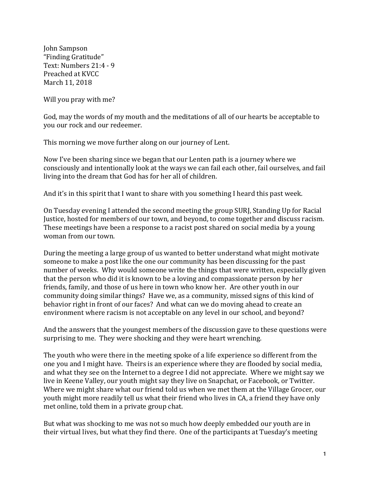John Sampson "Finding Gratitude" Text: Numbers 21:4 - 9 Preached at KVCC March 11, 2018

Will you pray with me?

God, may the words of my mouth and the meditations of all of our hearts be acceptable to you our rock and our redeemer.

This morning we move further along on our journey of Lent.

Now I've been sharing since we began that our Lenten path is a journey where we consciously and intentionally look at the ways we can fail each other, fail ourselves, and fail living into the dream that God has for her all of children.

And it's in this spirit that I want to share with you something I heard this past week.

On Tuesday evening I attended the second meeting the group SURI, Standing Up for Racial Justice, hosted for members of our town, and beyond, to come together and discuss racism. These meetings have been a response to a racist post shared on social media by a young woman from our town.

During the meeting a large group of us wanted to better understand what might motivate someone to make a post like the one our community has been discussing for the past number of weeks. Why would someone write the things that were written, especially given that the person who did it is known to be a loving and compassionate person by her friends, family, and those of us here in town who know her. Are other youth in our community doing similar things? Have we, as a community, missed signs of this kind of behavior right in front of our faces? And what can we do moving ahead to create an environment where racism is not acceptable on any level in our school, and beyond?

And the answers that the youngest members of the discussion gave to these questions were surprising to me. They were shocking and they were heart wrenching.

The youth who were there in the meeting spoke of a life experience so different from the one you and I might have. Theirs is an experience where they are flooded by social media, and what they see on the Internet to a degree I did not appreciate. Where we might say we live in Keene Valley, our youth might say they live on Snapchat, or Facebook, or Twitter. Where we might share what our friend told us when we met them at the Village Grocer, our youth might more readily tell us what their friend who lives in CA, a friend they have only met online, told them in a private group chat.

But what was shocking to me was not so much how deeply embedded our youth are in their virtual lives, but what they find there. One of the participants at Tuesday's meeting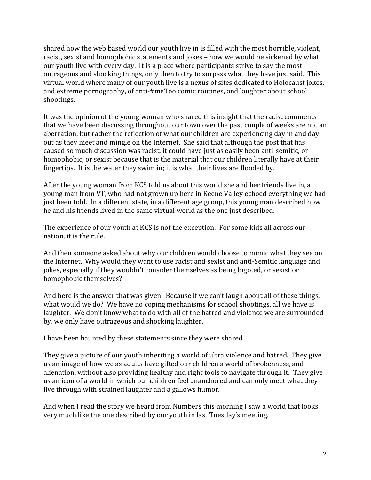shared how the web based world our youth live in is filled with the most horrible, violent, racist, sexist and homophobic statements and jokes – how we would be sickened by what our youth live with every day. It is a place where participants strive to say the most outrageous and shocking things, only then to try to surpass what they have just said. This virtual world where many of our youth live is a nexus of sites dedicated to Holocaust jokes, and extreme pornography, of anti-#meToo comic routines, and laughter about school shootings.

It was the opinion of the young woman who shared this insight that the racist comments that we have been discussing throughout our town over the past couple of weeks are not an aberration, but rather the reflection of what our children are experiencing day in and day out as they meet and mingle on the Internet. She said that although the post that has caused so much discussion was racist, it could have just as easily been anti-semitic, or homophobic, or sexist because that is the material that our children literally have at their fingertips. It is the water they swim in; it is what their lives are flooded by.

After the young woman from KCS told us about this world she and her friends live in, a young man from VT, who had not grown up here in Keene Valley echoed everything we had just been told. In a different state, in a different age group, this young man described how he and his friends lived in the same virtual world as the one just described.

The experience of our youth at KCS is not the exception. For some kids all across our nation, it is the rule.

And then someone asked about why our children would choose to mimic what they see on the Internet. Why would they want to use racist and sexist and anti-Semitic language and jokes, especially if they wouldn't consider themselves as being bigoted, or sexist or homophobic themselves?

And here is the answer that was given. Because if we can't laugh about all of these things. what would we do? We have no coping mechanisms for school shootings, all we have is laughter. We don't know what to do with all of the hatred and violence we are surrounded by, we only have outrageous and shocking laughter.

I have been haunted by these statements since they were shared.

They give a picture of our youth inheriting a world of ultra violence and hatred. They give us an image of how we as adults have gifted our children a world of brokenness, and alienation, without also providing healthy and right tools to navigate through it. They give us an icon of a world in which our children feel unanchored and can only meet what they live through with strained laughter and a gallows humor.

And when I read the story we heard from Numbers this morning I saw a world that looks very much like the one described by our youth in last Tuesday's meeting.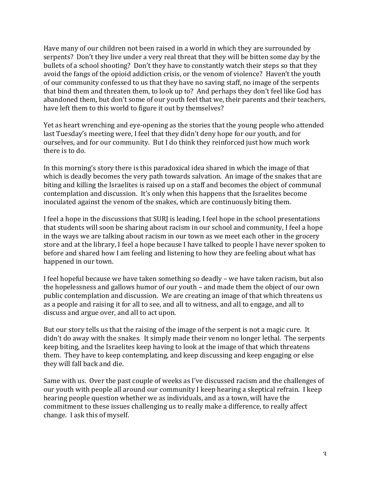Have many of our children not been raised in a world in which they are surrounded by serpents? Don't they live under a very real threat that they will be bitten some day by the bullets of a school shooting? Don't they have to constantly watch their steps so that they avoid the fangs of the opioid addiction crisis, or the venom of violence? Haven't the youth of our community confessed to us that they have no saving staff, no image of the serpents that bind them and threaten them, to look up to? And perhaps they don't feel like God has abandoned them, but don't some of our youth feel that we, their parents and their teachers, have left them to this world to figure it out by themselves?

Yet as heart wrenching and eye-opening as the stories that the young people who attended last Tuesday's meeting were, I feel that they didn't deny hope for our youth, and for ourselves, and for our community. But I do think they reinforced just how much work there is to do.

In this morning's story there is this paradoxical idea shared in which the image of that which is deadly becomes the very path towards salvation. An image of the snakes that are biting and killing the Israelites is raised up on a staff and becomes the object of communal contemplation and discussion. It's only when this happens that the Israelites become inoculated against the venom of the snakes, which are continuously biting them.

I feel a hope in the discussions that SURJ is leading, I feel hope in the school presentations that students will soon be sharing about racism in our school and community, I feel a hope in the ways we are talking about racism in our town as we meet each other in the grocery store and at the library, I feel a hope because I have talked to people I have never spoken to before and shared how I am feeling and listening to how they are feeling about what has happened in our town.

I feel hopeful because we have taken something so deadly – we have taken racism, but also the hopelessness and gallows humor of our youth  $-$  and made them the object of our own public contemplation and discussion. We are creating an image of that which threatens us as a people and raising it for all to see, and all to witness, and all to engage, and all to discuss and argue over, and all to act upon.

But our story tells us that the raising of the image of the serpent is not a magic cure. It didn't do away with the snakes. It simply made their venom no longer lethal. The serpents keep biting, and the Israelites keep having to look at the image of that which threatens them. They have to keep contemplating, and keep discussing and keep engaging or else they will fall back and die.

Same with us. Over the past couple of weeks as I've discussed racism and the challenges of our youth with people all around our community I keep hearing a skeptical refrain. I keep hearing people question whether we as individuals, and as a town, will have the commitment to these issues challenging us to really make a difference, to really affect change. I ask this of myself.